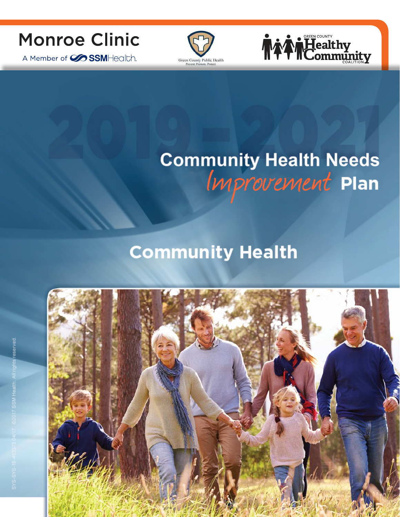

A Member of **SSM**Health.





# **Community Health Needs<br>Improvement Plan**

## **Community Health**

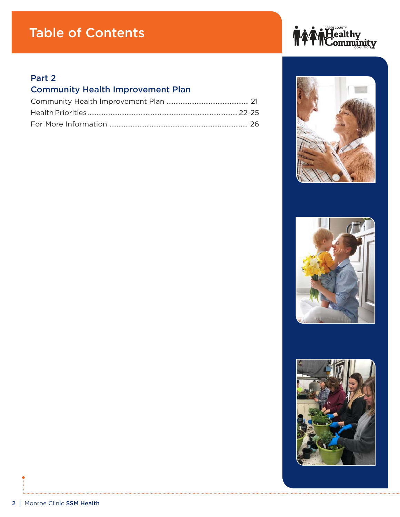## Table of Contents

#### Part 2

### Community Health Improvement Plan







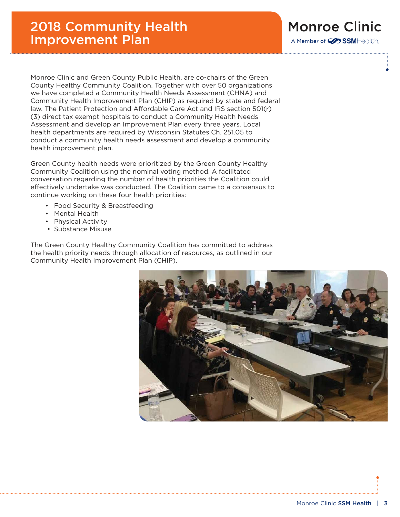Monroe Clinic and Green County Public Health, are co-chairs of the Green County Healthy Community Coalition. Together with over 50 organizations we have completed a Community Health Needs Assessment (CHNA) and Community Health Improvement Plan (CHIP) as required by state and federal law. The Patient Protection and Affordable Care Act and IRS section 501(r) (3) direct tax exempt hospitals to conduct a Community Health Needs Assessment and develop an Improvement Plan every three years. Local health departments are required by Wisconsin Statutes Ch. 251.05 to conduct a community health needs assessment and develop a community health improvement plan.

Green County health needs were prioritized by the Green County Healthy Community Coalition using the nominal voting method. A facilitated conversation regarding the number of health priorities the Coalition could effectively undertake was conducted. The Coalition came to a consensus to continue working on these four health priorities:

- Food Security & Breastfeeding
- Mental Health
- Physical Activity
- Substance Misuse

The Green County Healthy Community Coalition has committed to address the health priority needs through allocation of resources, as outlined in our Community Health Improvement Plan (CHIP).



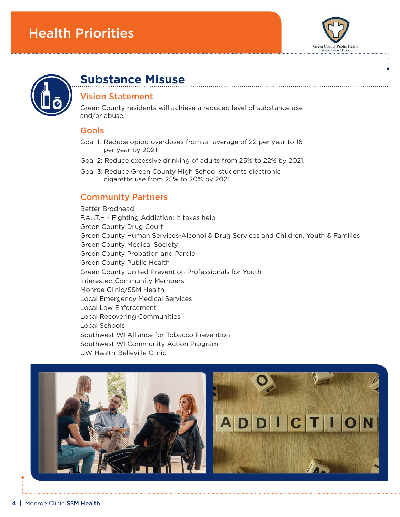



## **Su**b**stance Misuse**

#### Vision Statement

Green County residents will achieve a reduced level of substance use and/or abuse.

#### Goals

- Goal 1: Reduce opiod overdoses from an average of 22 per year to 16 per year by 2021.
- Goal 2: Reduce excessive drinking of adults from 25% to 22% by 2021.
- Goal 3: Reduce Green County High School students electronic cigarette use from 25% to 20% by 2021.

#### Community Partners

Better Brodhead F.A.I.T.H - Fighting Addiction: It takes help Green County Drug Court Green County Human Services-Alcohol & Drug Services and Children, Youth & Families Green County Medical Society Green County Probation and Parole Green County Public Health Green County United Prevention Professionals for Youth Interested Community Members Monroe Clinic/SSM Health Local Emergency Medical Services Local Law Enforcement Local Recovering Communities Local Schools Southwest WI Alliance for Tobacco Prevention Southwest WI Community Action Program UW Health-Belleville Clinic

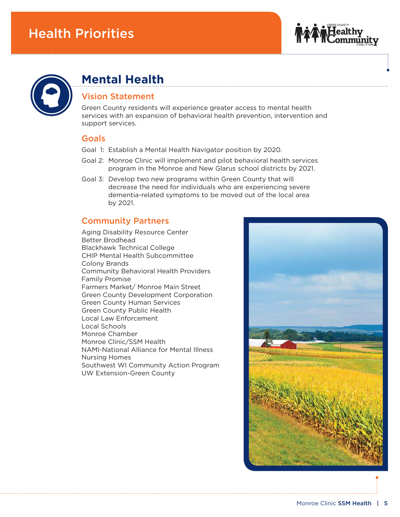



## **Mental Health**

#### Vision Statement

Green County residents will experience greater access to mental health services with an expansion of behavioral health prevention, intervention and support services.

#### Goals

- Goal 1: Establish a Mental Health Navigator position by 2020.
- Goal 2: Monroe Clinic will implement and pilot behavioral health services program in the Monroe and New Glarus school districts by 2021.
- Goal 3: Develop two new programs within Green County that will decrease the need for individuals who are experiencing severe dementia-related symptoms to be moved out of the local area by 2021.

#### Community Partners

Aging Disability Resource Center Better Brodhead Blackhawk Technical College CHIP Mental Health Subcommittee Colony Brands Community Behavioral Health Providers Family Promise Farmers Market/ Monroe Main Street Green County Development Corporation Green County Human Services Green County Public Health Local Law Enforcement Local Schools Monroe Chamber Monroe Clinic/SSM Health NAMI-National Alliance for Mental Illness Nursing Homes Southwest WI Community Action Program UW Extension-Green County

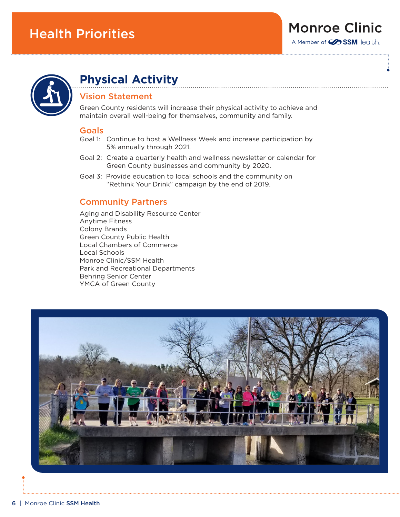



## **Physical Activity**

#### Vision Statement

Green County residents will increase their physical activity to achieve and maintain overall well-being for themselves, community and family.

#### Goals

- Goal 1: Continue to host a Wellness Week and increase participation by 5% annually through 2021.
- Goal 2: Create a quarterly health and wellness newsletter or calendar for Green County businesses and community by 2020.
- Goal 3: Provide education to local schools and the community on "Rethink Your Drink" campaign by the end of 2019.

#### Community Partners

Aging and Disability Resource Center Anytime Fitness Colony Brands Green County Public Health Local Chambers of Commerce Local Schools Monroe Clinic/SSM Health Park and Recreational Departments Behring Senior Center YMCA of Green County

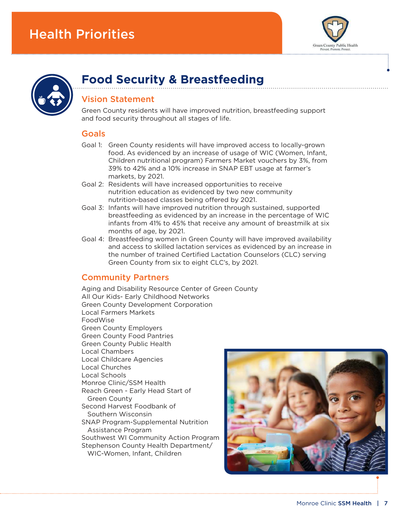



## **Food Security & Breastfeeding**

#### Vision Statement

Green County residents will have improved nutrition, breastfeeding support and food security throughout all stages of life.

#### Goals

- Goal 1: Green County residents will have improved access to locally-grown food. As evidenced by an increase of usage of WIC (Women, Infant, Children nutritional program) Farmers Market vouchers by 3%, from 39% to 42% and a 10% increase in SNAP EBT usage at farmer's markets, by 2021.
- Goal 2: Residents will have increased opportunities to receive nutrition education as evidenced by two new community nutrition-based classes being offered by 2021.
- Goal 3: Infants will have improved nutrition through sustained, supported breastfeeding as evidenced by an increase in the percentage of WIC infants from 41% to 45% that receive any amount of breastmilk at six months of age, by 2021.
- Goal 4: Breastfeeding women in Green County will have improved availability and access to skilled lactation services as evidenced by an increase in the number of trained Certified Lactation Counselors (CLC) serving Green County from six to eight CLC's, by 2021.

#### Community Partners

Aging and Disability Resource Center of Green County All Our Kids- Early Childhood Networks Green County Development Corporation Local Farmers Markets FoodWise Green County Employers Green County Food Pantries Green County Public Health Local Chambers Local Childcare Agencies Local Churches Local Schools Monroe Clinic/SSM Health Reach Green - Early Head Start of Green County Second Harvest Foodbank of Southern Wisconsin SNAP Program-Supplemental Nutrition Assistance Program Southwest WI Community Action Program Stephenson County Health Department/ WIC-Women, Infant, Children